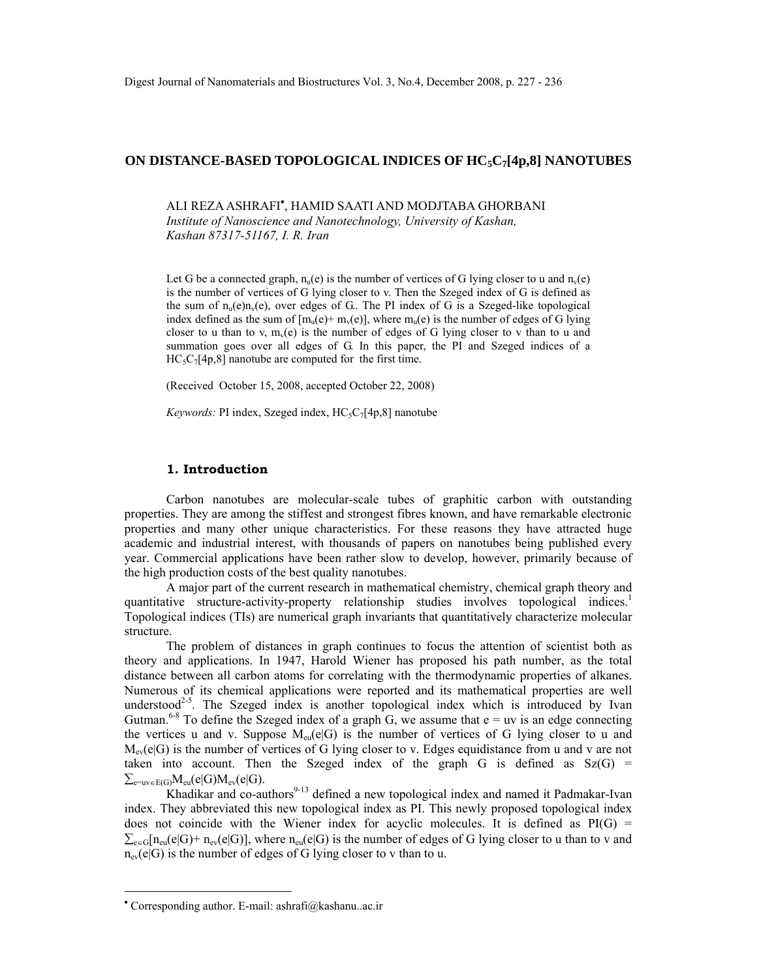## **ON DISTANCE-BASED TOPOLOGICAL INDICES OF HC5C7[4p,8] NANOTUBES**

ALI REZA ASHRAFI• , HAMID SAATI AND MODJTABA GHORBANI

*Institute of Nanoscience and Nanotechnology, University of Kashan, Kashan 87317-51167, I. R. Iran* 

Let G be a connected graph,  $n_u(e)$  is the number of vertices of G lying closer to u and  $n_v(e)$ is the number of vertices of G lying closer to v. Then the Szeged index of G is defined as the sum of  $n_u(e)n_v(e)$ , over edges of G. The PI index of G is a Szeged-like topological index defined as the sum of  $[m_u(e) + m_v(e)]$ , where  $m_u(e)$  is the number of edges of G lying closer to u than to v,  $m_v(e)$  is the number of edges of G lying closer to v than to u and summation goes over all edges of G. In this paper, the PI and Szeged indices of a  $HC_5C_7[4p,8]$  nanotube are computed for the first time.

(Received October 15, 2008, accepted October 22, 2008)

*Keywords:* PI index, Szeged index, HC<sub>5</sub>C<sub>7</sub>[4p,8] nanotube

## **1. Introduction**

Carbon nanotubes are molecular-scale tubes of graphitic carbon with outstanding properties. They are among the stiffest and strongest fibres known, and have remarkable electronic properties and many other unique characteristics. For these reasons they have attracted huge academic and industrial interest, with thousands of papers on nanotubes being published every year. Commercial applications have been rather slow to develop, however, primarily because of the high production costs of the best quality nanotubes.

A major part of the current research in mathematical chemistry, chemical graph theory and quantitative structure-activity-property relationship studies involves topological indices.<sup>1</sup> Topological indices (TIs) are numerical graph invariants that quantitatively characterize molecular structure.

The problem of distances in graph continues to focus the attention of scientist both as theory and applications. In 1947, Harold Wiener has proposed his path number, as the total distance between all carbon atoms for correlating with the thermodynamic properties of alkanes. Numerous of its chemical applications were reported and its mathematical properties are well understood<sup>2-5</sup>. The Szeged index is another topological index which is introduced by Ivan Gutman.<sup>6-8</sup> To define the Szeged index of a graph G, we assume that  $e = uv$  is an edge connecting the vertices u and v. Suppose  $M_{eu}(e|G)$  is the number of vertices of G lying closer to u and  $M_{ev}(elG)$  is the number of vertices of G lying closer to v. Edges equidistance from u and v are not taken into account. Then the Szeged index of the graph G is defined as  $Sz(G)$  =  $\sum_{e=uv\in E(G)}M_{eu}(e|G)M_{ev}(e|G).$ 

Khadikar and co-authors<sup>9-13</sup> defined a new topological index and named it Padmakar-Ivan index. They abbreviated this new topological index as PI. This newly proposed topological index does not coincide with the Wiener index for acyclic molecules. It is defined as  $PI(G)$  =  $\sum_{e \in G} [n_{en}(e|G) + n_{ev}(e|G)]$ , where  $n_{en}(e|G)$  is the number of edges of G lying closer to u than to v and  $n_{ev}(e|G)$  is the number of edges of G lying closer to v than to u.

 $\overline{a}$ 

<sup>•</sup> Corresponding author. E-mail: ashrafi@kashanu..ac.ir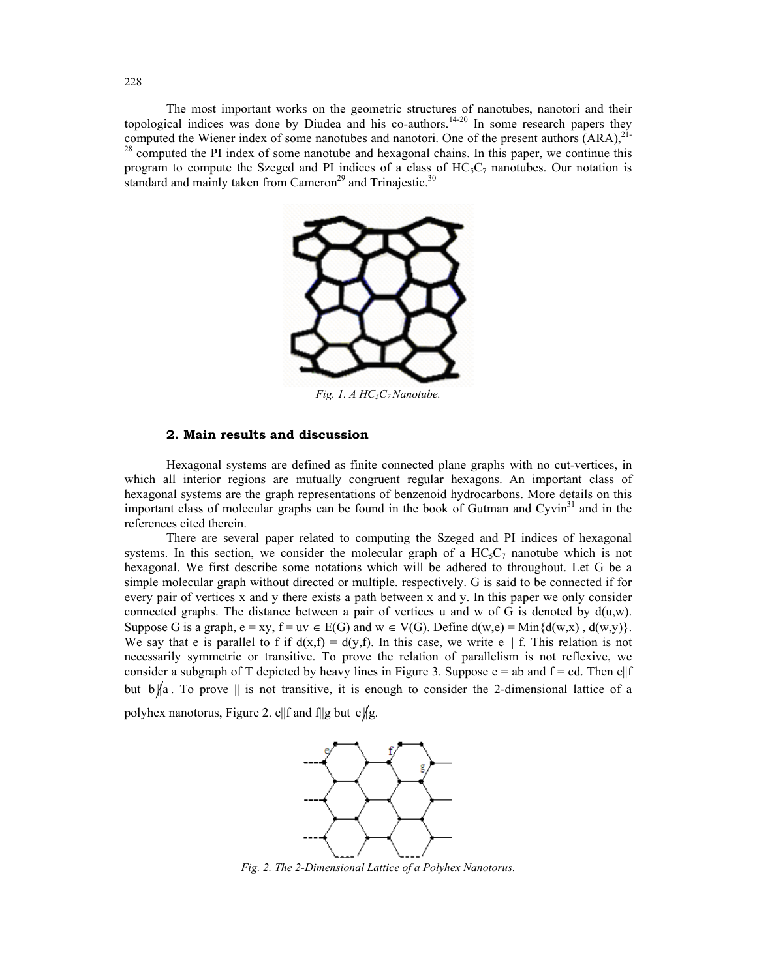The most important works on the geometric structures of nanotubes, nanotori and their topological indices was done by Diudea and his co-authors.<sup>14-20</sup> In some research papers they computed the Wiener index of some nanotubes and nanotori. One of the present authors  $(ARA)^{21-}$  $28$  computed the PI index of some nanotube and hexagonal chains. In this paper, we continue this program to compute the Szeged and PI indices of a class of  $HC_5C_7$  nanotubes. Our notation is standard and mainly taken from Cameron<sup>29</sup> and Trinajestic.<sup>30</sup>



Fig. 1. A HC<sub>5</sub>C<sub>7</sub> Nanotube.

# **2. Main results and discussion**

Hexagonal systems are defined as finite connected plane graphs with no cut-vertices, in which all interior regions are mutually congruent regular hexagons. An important class of hexagonal systems are the graph representations of benzenoid hydrocarbons. More details on this important class of molecular graphs can be found in the book of Gutman and  $Cyrin<sup>31</sup>$  and in the references cited therein.

There are several paper related to computing the Szeged and PI indices of hexagonal systems. In this section, we consider the molecular graph of a  $HC_5C_7$  nanotube which is not hexagonal. We first describe some notations which will be adhered to throughout. Let G be a simple molecular graph without directed or multiple. respectively. G is said to be connected if for every pair of vertices x and y there exists a path between x and y. In this paper we only consider connected graphs. The distance between a pair of vertices u and w of G is denoted by  $d(u, w)$ . Suppose G is a graph,  $e = xy$ ,  $f = uv \in E(G)$  and  $w \in V(G)$ . Define  $d(w,e) = Min{d(w,x)}$ ,  $d(w,y)$ . We say that e is parallel to f if  $d(x,f) = d(y,f)$ . In this case, we write e || f. This relation is not necessarily symmetric or transitive. To prove the relation of parallelism is not reflexive, we consider a subgraph of T depicted by heavy lines in Figure 3. Suppose  $e = ab$  and  $f = cd$ . Then  $e||f$ but  $b \nparallel a$ . To prove  $\parallel$  is not transitive, it is enough to consider the 2-dimensional lattice of a

polyhex nanotorus, Figure 2. e||f and f||g but e||g.



*Fig. 2. The 2-Dimensional Lattice of a Polyhex Nanotorus.*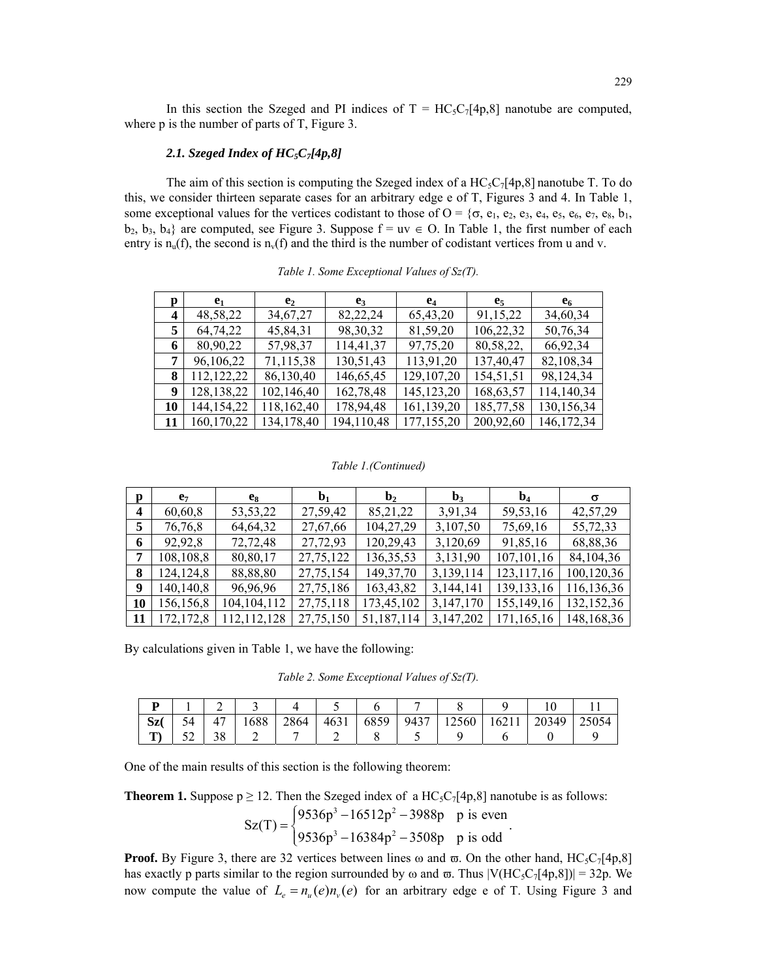In this section the Szeged and PI indices of  $T = HC_5C_7[4p,8]$  nanotube are computed, where p is the number of parts of T, Figure 3.

### *2.1. Szeged Index of HC5C7[4p,8]*

The aim of this section is computing the Szeged index of a  $HC_5C_7[4p,8]$  nanotube T. To do this, we consider thirteen separate cases for an arbitrary edge e of T, Figures 3 and 4. In Table 1, some exceptional values for the vertices codistant to those of  $O = \{\sigma, e_1, e_2, e_3, e_4, e_5, e_6, e_7, e_8, b_1,$  $b_2$ ,  $b_3$ ,  $b_4$ } are computed, see Figure 3. Suppose  $f = uv \in O$ . In Table 1, the first number of each entry is  $n_u(f)$ , the second is  $n_v(f)$  and the third is the number of codistant vertices from u and v.

| p  | e <sub>1</sub> | e <sub>2</sub> | $e_3$       | $e_4$        | e <sub>5</sub> | e <sub>6</sub> |
|----|----------------|----------------|-------------|--------------|----------------|----------------|
| 4  | 48,58,22       | 34, 67, 27     | 82,22,24    | 65,43,20     | 91,15,22       | 34,60,34       |
| 5  | 64,74,22       | 45,84,31       | 98, 30, 32  | 81,59,20     | 106,22,32      | 50,76,34       |
| 6  | 80,90,22       | 57,98,37       | 114,41,37   | 97,75,20     | 80,58,22,      | 66,92,34       |
| 7  | 96,106,22      | 71,115,38      | 130,51,43   | 113,91,20    | 137,40,47      | 82,108,34      |
| 8  | 112,122,22     | 86,130,40      | 146, 65, 45 | 129,107,20   | 154,51,51      | 98,124,34      |
| 9  | 128, 138, 22   | 102,146,40     | 162,78,48   | 145, 123, 20 | 168,63,57      | 114,140,34     |
| 10 | 144, 154, 22   | 118,162,40     | 178,94,48   | 161,139,20   | 185,77,58      | 130,156,34     |
| 11 | 160, 170, 22   | 134, 178, 40   | 194,110,48  | 177,155,20   | 200,92,60      | 146, 172, 34   |

*Table 1. Some Exceptional Values of Sz(T).* 

#### *Table 1.(Continued)*

| p                | e <sub>7</sub> | $e_8$         | $b_1$     | $\mathbf{b}_2$ | $b_3$     | $\mathbf{b}_4$ | $\sigma$   |
|------------------|----------------|---------------|-----------|----------------|-----------|----------------|------------|
| $\boldsymbol{4}$ | 60,60,8        | 53, 53, 22    | 27,59,42  | 85, 21, 22     | 3,91,34   | 59,53,16       | 42,57,29   |
| 5                | 76,76,8        | 64,64,32      | 27,67,66  | 104,27,29      | 3,107,50  | 75,69,16       | 55,72,33   |
| 6                | 92,92,8        | 72,72,48      | 27,72,93  | 120,29,43      | 3,120,69  | 91,85,16       | 68,88,36   |
|                  | 108,108,8      | 80,80,17      | 27,75,122 | 136, 35, 53    | 3,131,90  | 107,101,16     | 84,104,36  |
| 8                | 124, 124, 8    | 88,88,80      | 27,75,154 | 149, 37, 70    | 3,139,114 | 123, 117, 16   | 100,120,36 |
| 9                | 140,140,8      | 96,96,96      | 27,75,186 | 163,43,82      | 3,144,141 | 139, 133, 16   | 116,136,36 |
| 10               | 156,156,8      | 104, 104, 112 | 27,75,118 | 173,45,102     | 3,147,170 | 155,149,16     | 132,152,36 |
| -11              | 172,172,8      | 112, 112, 128 | 27,75,150 | 51,187,114     | 3,147,202 | 171,165,16     | 148,168,36 |

By calculations given in Table 1, we have the following:

*Table 2. Some Exceptional Values of Sz(T).* 

| Sz | 54 | 47       | 688 | 2864 | 4631 | 6859 | 9437 | 12560 | 62 I I | 20349 | 25054 |
|----|----|----------|-----|------|------|------|------|-------|--------|-------|-------|
| m  | ◡▵ | າດ<br>38 | -   |      |      |      |      |       |        |       |       |

One of the main results of this section is the following theorem:

**Theorem 1.** Suppose  $p \ge 12$ . Then the Szeged index of a  $HC_5C_7[4p,8]$  nanotube is as follows:

$$
Sz(T) = \begin{cases} 9536p^3 - 16512p^2 - 3988p & p \text{ is even} \\ 9536p^3 - 16384p^2 - 3508p & p \text{ is odd} \end{cases}.
$$

**Proof.** By Figure 3, there are 32 vertices between lines  $\omega$  and  $\overline{\omega}$ . On the other hand, HC<sub>5</sub>C<sub>7</sub>[4p,8] has exactly p parts similar to the region surrounded by  $\omega$  and  $\varpi$ . Thus  $|V(HC_5C_7[4p,8])| = 32p$ . We now compute the value of  $L_e = n_u(e) n_v(e)$  for an arbitrary edge e of T. Using Figure 3 and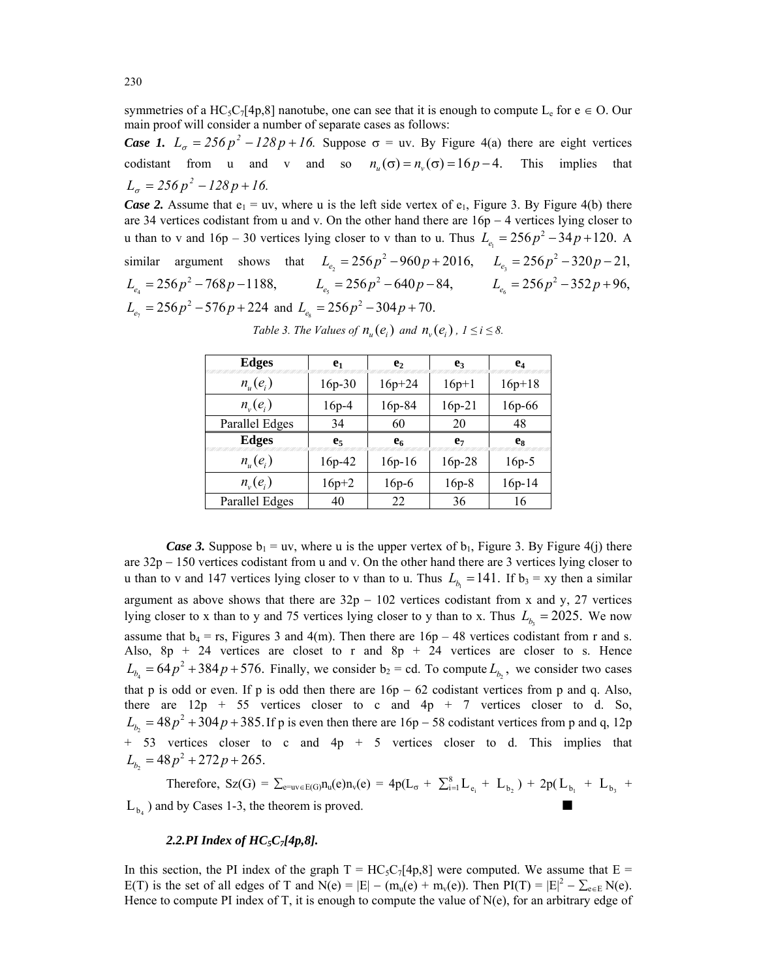symmetries of a HC<sub>5</sub>C<sub>7</sub>[4p,8] nanotube, one can see that it is enough to compute L<sub>e</sub> for  $e \in O$ . Our main proof will consider a number of separate cases as follows:

*Case 1.*  $L_{\sigma} = 256p^2 - 128p + 16$ . Suppose  $\sigma = uv$ . By Figure 4(a) there are eight vertices codistant from u and v and so  $n_u(\sigma) = n_u(\sigma) = 16p - 4$ . This implies that  $L_{\sigma} = 256 p^2 - 128 p + 16.$ 

*Case 2.* Assume that  $e_1 = uv$ , where u is the left side vertex of  $e_1$ , Figure 3. By Figure 4(b) there are 34 vertices codistant from u and v. On the other hand there are 16p − 4 vertices lying closer to u than to v and  $16p - 30$  vertices lying closer to v than to u. Thus  $L_{e_1} = 256p^2 - 34p + 120$ . A similar argument shows that  $L_{e_2} = 256p^2 - 960p + 2016$ ,  $L_{e_3} = 256p^2 - 320p - 21$ ,  $L_{e_4} = 256p^2 - 768p - 1188,$   $L_{e_5} = 256p^2 - 640p - 84,$   $L_{e_6} = 256p^2 - 352p + 96,$  $L_{e_7} = 256p^2 - 576p + 224$  and  $L_{e_8} = 256p^2 - 304p + 70$ .

| <b>Edges</b>                    | e <sub>1</sub> | e <sub>2</sub> | e <sub>3</sub> | $e_4$    |
|---------------------------------|----------------|----------------|----------------|----------|
| $n_{\scriptscriptstyle H}(e_i)$ | $16p-30$       | $16p + 24$     | $16p+1$        | $16p+18$ |
| $n_{v}(e_i)$                    | $16p-4$        | 16p-84         | $16p-21$       | 16p-66   |
| Parallel Edges                  | 34             | 60             | 20             | 48       |
| <b>Edges</b>                    | e <sub>5</sub> | e <sub>6</sub> | e <sub>7</sub> | es       |
| $n_{\mu}(e_i)$                  | 16p-42         | $16p-16$       | $16p-28$       | $16p-5$  |
| $n_{v}(e_i)$                    | $16p + 2$      | $16p-6$        | $16p-8$        | $16p-14$ |
| Parallel Edges                  | 40             | 22             | 36             | 16       |

*Table 3. The Values of*  $n_{\nu}(e_i)$  *and*  $n_{\nu}(e_i)$ ,  $1 \le i \le 8$ .

*Case 3.* Suppose  $b_1 = uv$ , where u is the upper vertex of  $b_1$ , Figure 3. By Figure 4(j) there are 32p − 150 vertices codistant from u and v. On the other hand there are 3 vertices lying closer to u than to v and 147 vertices lying closer to v than to u. Thus  $L_{b} = 141$ . If  $b_3 = xy$  then a similar argument as above shows that there are  $32p - 102$  vertices codistant from x and y, 27 vertices lying closer to x than to y and 75 vertices lying closer to y than to x. Thus  $L<sub>b</sub> = 2025$ . We now assume that  $b_4 = rs$ , Figures 3 and 4(m). Then there are  $16p - 48$  vertices codistant from r and s. Also,  $8p + 24$  vertices are closet to r and  $8p + 24$  vertices are closer to s. Hence  $L_{b_4} = 64 p^2 + 384 p + 576$ . Finally, we consider  $b_2 = cd$ . To compute  $L_{b_2}$ , we consider two cases that p is odd or even. If p is odd then there are  $16p - 62$  codistant vertices from p and q. Also, there are  $12p + 55$  vertices closer to c and  $4p + 7$  vertices closer to d. So,  $L_{b_2} = 48p^2 + 304p + 385$ . If p is even then there are 16p – 58 codistant vertices from p and q, 12p + 53 vertices closer to c and 4p + 5 vertices closer to d. This implies that  $L_{b_2} = 48p^2 + 272p + 265.$ 

Therefore,  $Sz(G) = \sum_{e=u\vee e} E(G) n_u(e) n_v(e) = 4p(L_{\sigma} + \sum_{i=1}^{8} L_{e_i} + L_{b_2}) + 2p(L_{b_1} + L_{b_3} +$  $L_{b_1}$ ) and by Cases 1-3, the theorem is proved.

## *2.2.PI Index of HC5C7[4p,8].*

In this section, the PI index of the graph  $T = HC_5C_7[4p,8]$  were computed. We assume that  $E =$ E(T) is the set of all edges of T and N(e) =  $|E| - (m_u(e) + m_v(e))$ . Then  $PI(T) = |E|^2 - \sum_{e \in E} N(e)$ . Hence to compute PI index of T, it is enough to compute the value of N(e), for an arbitrary edge of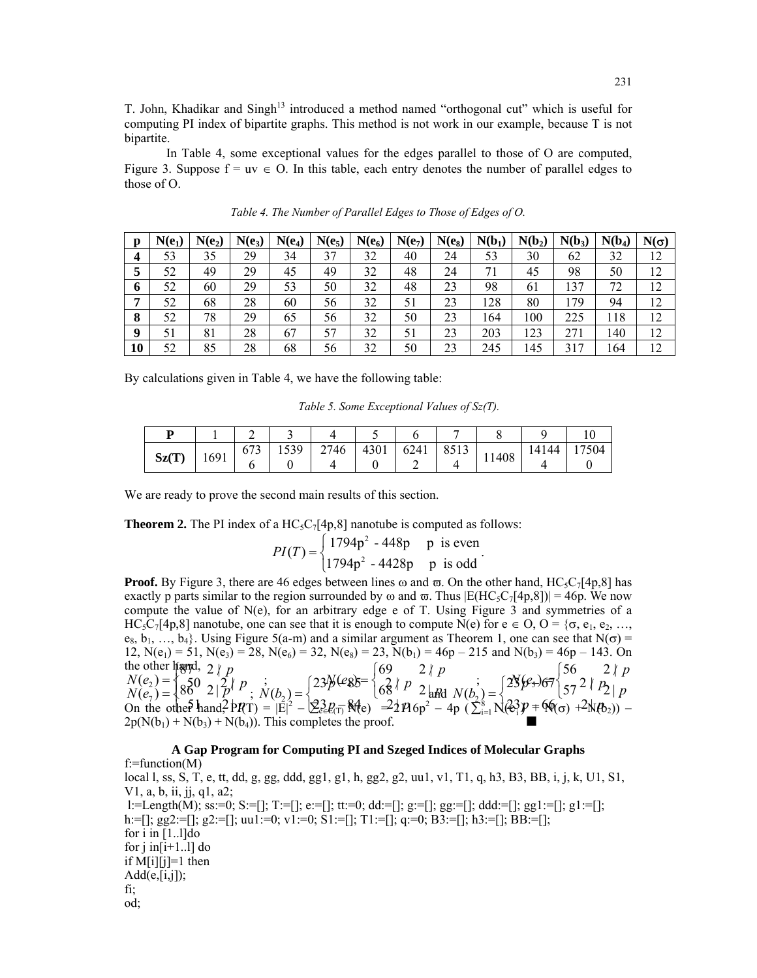T. John, Khadikar and Singh<sup>13</sup> introduced a method named "orthogonal cut" which is useful for computing PI index of bipartite graphs. This method is not work in our example, because T is not bipartite.

 In Table 4, some exceptional values for the edges parallel to those of O are computed, Figure 3. Suppose  $f = uv \in O$ . In this table, each entry denotes the number of parallel edges to those of O.

| $\mathbf{p}$ | $N(e_1)$ | $N(e_2)$ | $N(e_3)$ | $N(e_4)$ | $N(e_5)$ | $N(e_6)$ | $N(e_7)$ | $N(e_8)$ | $N(b_1)$ | $N(b_2)$ | $N(b_3)$ | $N(b_4)$ | $N(\sigma)$ |
|--------------|----------|----------|----------|----------|----------|----------|----------|----------|----------|----------|----------|----------|-------------|
| 4            | 53       | 35       | 29       | 34       | 37       | 32       | 40       | 24       | 53       | 30       | 62       | 32       | 12          |
| 5            | 52       | 49       | 29       | 45       | 49       | 32       | 48       | 24       | 71       | 45       | 98       | 50       | 12          |
| 6            | 52       | 60       | 29       | 53       | 50       | 32       | 48       | 23       | 98       | 61       | 137      | 72       | 12          |
| 7            | 52       | 68       | 28       | 60       | 56       | 32       | 51       | 23       | 128      | 80       | 179      | 94       | 12          |
| 8            | 52       | 78       | 29       | 65       | 56       | 32       | 50       | 23       | 164      | 100      | 225      | 118      | 12          |
| 9            | 51       | 81       | 28       | 67       | 57       | 32       | 51       | 23       | 203      | 123      | 271      | 140      | 12          |
| 10           | 52       | 85       | 28       | 68       | 56       | 32       | 50       | 23       | 245      | 145      | 317      | 164      | 12          |

*Table 4. The Number of Parallel Edges to Those of Edges of O.* 

By calculations given in Table 4, we have the following table:

 *Table 5. Some Exceptional Values of Sz(T).* 

| Sz(T) | 1691 | 673 | 1539<br>1 J J J | 2746 | 4301 | 6241 | 8513 | 11408 | .44<br>141 | '504 |
|-------|------|-----|-----------------|------|------|------|------|-------|------------|------|
|       |      |     |                 |      |      |      |      |       |            |      |

We are ready to prove the second main results of this section.

**Theorem 2.** The PI index of a  $HC_5C_7[4p,8]$  nanotube is computed as follows:

$$
PI(T) = \begin{cases} 1794p^{2} - 448p & p \text{ is even} \\ 1794p^{2} - 4428p & p \text{ is odd} \end{cases}.
$$

**Proof.** By Figure 3, there are 46 edges between lines  $\omega$  and  $\overline{\omega}$ . On the other hand, HC<sub>5</sub>C<sub>7</sub>[4p,8] has exactly p parts similar to the region surrounded by  $\omega$  and  $\overline{\omega}$ . Thus  $|E(HC_5C_7[4p,8])| = 46p$ . We now compute the value of  $N(e)$ , for an arbitrary edge e of T. Using Figure 3 and symmetries of a HC<sub>5</sub>C<sub>7</sub>[4p,8] nanotube, one can see that it is enough to compute N(e) for  $e \in O$ ,  $O = \{\sigma, e_1, e_2, ...,$  $e_8, b_1, ..., b_4$ . Using Figure 5(a-m) and a similar argument as Theorem 1, one can see that  $N(\sigma)$  = 12,  $N(e_1) = 51$ ,  $N(e_3) = 28$ ,  $N(e_6) = 32$ ,  $N(e_8) = 23$ ,  $N(b_1) = 46p - 215$  and  $N(b_3) = 46p - 143$ . On the other hand, c other higherd, 2<br>  $(e_2) = \begin{cases} 80 & 2 \\ 8 & 2 \end{cases}$ ⇃ the other light,  $2 \mid p$ <br> $N(e_2) = \{50, 2, 2\}$  $\begin{array}{cc} p & 2 \\ p \end{array}$ <br>  $\begin{array}{cc} p & 2 \\ p \end{array}$ <br>  $\begin{array}{cc} p & 2 \\ p & 2 \\ p \end{array}$  $\overline{a}$  $A_0$  (e<sub>8</sub>)<sub>5</sub>  $=$   $\begin{cases} 69 & 2 \mid p \\ 2 & 1 \mid p \end{cases}$ *p*  $\vec{B}$   $\vec{B}$   $\vec{C}$   $\vec{C}$   $\vec{C}$   $\vec{C}$   $\vec{C}$   $\vec{C}$   $\vec{C}$   $\vec{C}$   $\vec{C}$   $\vec{C}$   $\vec{C}$   $\vec{C}$   $\vec{C}$   $\vec{C}$   $\vec{C}$   $\vec{C}$   $\vec{C}$   $\vec{C}$   $\vec{C}$   $\vec{C}$   $\vec{C}$   $\vec{C}$   $\vec{C}$   $\vec{C}$   $\vec{C}$   $\overline{a}$  $P(\mathcal{C}_7) = \begin{cases} 56 & 2 \mid p \\ 2 & 2 \mid p \end{cases}$  $\begin{array}{l} (e_2) = \left\{ 85^0 \frac{2}{p} \right\} p \text{ ; } \\ (e_7) = \left\{ 85^0 \frac{2}{p} \right\} p \text{ ; } \\ (e_9) = \left\{ 85^0 \frac{2}{p} \right\} p \text{ ; } \\ (e_9) = \left\{ 85^0 \frac{2}{p} \right\} p \text{ ; } \\ (e_9) = \left\{ 85^0 \frac{2}{p} \right\} p \text{ ; } \\ (e_9) = \left\{ 85^0 \frac{2}{p} \right\} p \text{ ; } \\ (e_9) = \left\{ 85^0$ tŀ  $N(e_2) = \begin{cases} 86 & 2 \end{cases}$  *p p*<br> $N(e_2) = \begin{cases} 86 & 2 \end{cases}$  $p$ ;  $N(b_2) = \begin{cases} 23\cancel{p} (e_8) = \ 6\cancel{3} \\ 6\cancel{p} \end{cases}$ <br>  $p_T$  =  $|E|^2 - 2\cancel{2} \cdot p_T$   $|e_8|^2 - 2\cancel{2} \cdot p_T$  $23p_{\text{eff}}$  $N(b_2) = \frac{23}{9} \frac{23}{9} \left( \frac{23}{9} \right)^2$  $p^{(e_8)} = \begin{cases} 68 & p \ 2 & \text{if } P \leq 2 \\ 68 & p \end{cases}$ <br>  $p_{\overline{P}} = \begin{cases} 68 & p \ 2 & p \end{cases}$ <br>  $p_{\overline{P}} = \begin{cases} 68 & p \ 2 & p \end{cases}$ <br>  $p_{\overline{P}} = \begin{cases} 68 & p \ 2 & p \end{cases}$  $\sqrt{(\epsilon^3)} p =$  $p(y_0) = \frac{28}{9}$   $p^2 \frac{36}{7}$   $\frac{272}{7}$  *p* On the other hand,  $PPT = |E|^2 - \frac{23}{2}l^2 \sin^2(2\pi kT) = -2\frac{1}{2}l^2 \cos^2(2\pi kT) - \frac{1}{2}l^2 \sin^2(2\pi kT) = -\frac{1}{2}l^2 \cos^2(2\pi kT) - \frac{1}{2}l^2 \sin^2(2\pi kT)$  $2p(N(b_1) + N(b_3) + N(b_4))$ . This completes the proof.

## **A Gap Program for Computing PI and Szeged Indices of Molecular Graphs** f:=function(M) local l, ss, S, T, e, tt, dd, g, gg, ddd, gg1, g1, h, gg2, g2, uu1, v1, T1, q, h3, B3, BB, i, j, k, U1, S1, V1, a, b, ii, jj, q1, a2; l:=Length(M); ss:=0; S:=[]; T:=[]; e:=[]; tt:=0; dd:=[]; g:=[]; gg:=[]; ddd:=[]; gg1:=[]; g1:=[]; h:=[]; gg2:=[]; g2:=[]; uu1:=0; v1:=0; S1:=[]; T1:=[]; q:=0; B3:=[]; h3:=[]; BB:=[]; for i in  $[1..1]$ do for  $j$  in[ $i+1$ ...] do if  $M[i][j]=1$  then  $Add(e,[i,j])$ ; fi; od;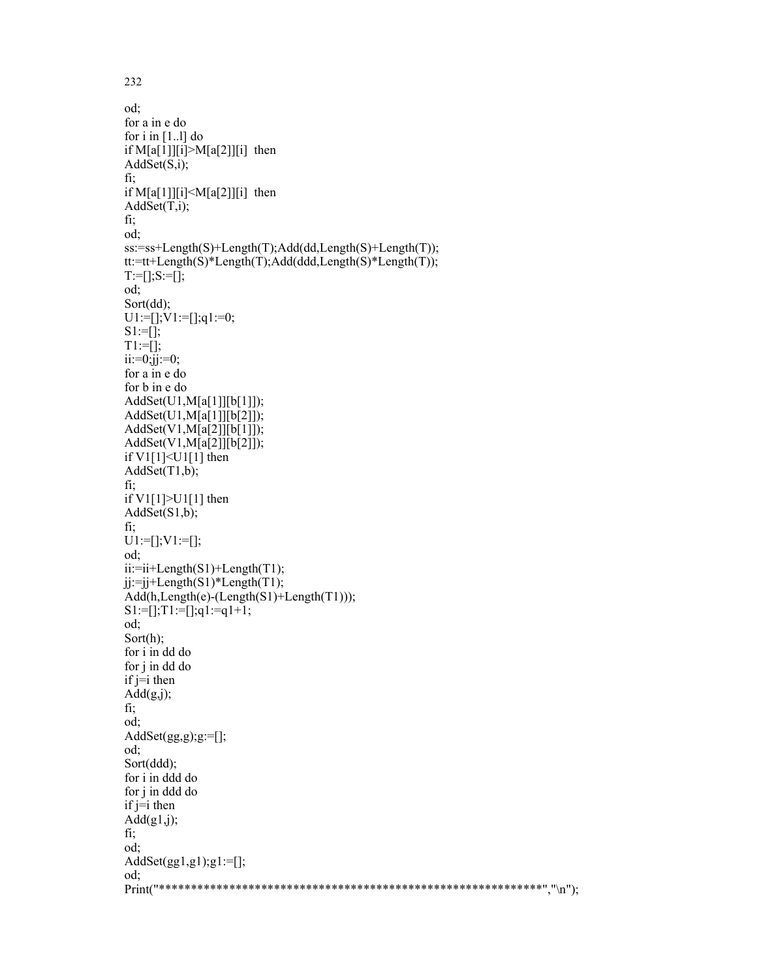od; for a in e do for  $i$  in [1...] do if  $M[a[1]][i] > M[a[2]][i]$  then AddSet(S,i); fi; if  $M[a[1]][i] < M[a[2]][i]$  then  $AddSet(T,i);$ fi; od; ss:=ss+Length(S)+Length(T);Add(dd,Length(S)+Length(T)); tt:=tt+Length(S)\*Length(T);Add(ddd,Length(S)\*Length(T));  $T:=[]$ ; $S:=[]$ ; od; Sort(dd);  $U1:=[]$ ; $V1:=[]$ ; $q1:=0$ ;  $S1:=$ []; T1:=[];  $ii:=0;jj:=0;$ for a in e do for b in e do AddSet(U1,M[a[1]][b[1]]); AddSet(U1,M[a[1]][b[2]]); AddSet(V1,M[a[2]][b[1]]); AddSet(V1,M[a[2]][b[2]]); if V1[1]<U1[1] then AddSet(T1,b); fi; if V1[1]>U1[1] then AddSet(S1,b); fi;  $U1:=[]$ ; $V1:=[]$ ; od;  $ii:=ii+Length(S1)+Length(T1);$  $ji:=ji+Length(S1)*Length(T1);$ Add(h,Length(e)-(Length(S1)+Length(T1))); S1:=[];T1:=[];q1:=q1+1; od; Sort(h); for i in dd do for j in dd do  $if \neq i$  then  $Add(g,j);$ fi; od; AddSet $(gg,g);g:=[];$ od; Sort(ddd); for i in ddd do for j in ddd do if  $j=i$  then  $Add(g1,j);$ fi; od; AddSet $(gg1,g1);g1:=[];$ od; Print("\*\*\*\*\*\*\*\*\*\*\*\*\*\*\*\*\*\*\*\*\*\*\*\*\*\*\*\*\*\*\*\*\*\*\*\*\*\*\*\*\*\*\*\*\*\*\*\*\*\*\*\*\*\*\*\*\*\*\*\*","\n");

232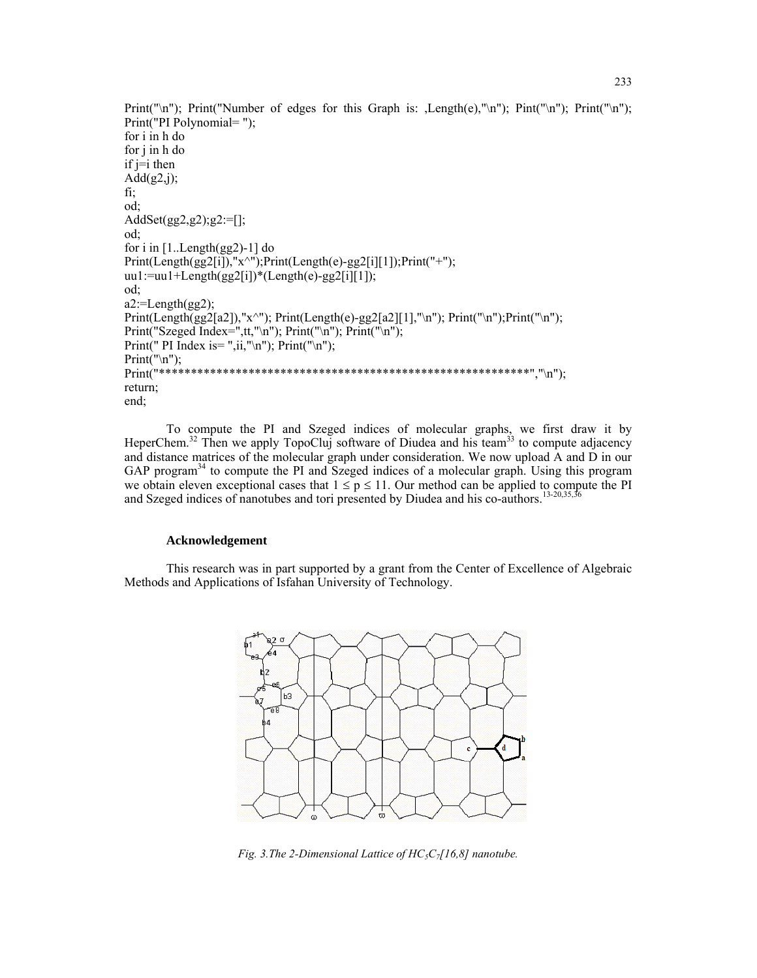```
Print("\n"); Print("Number of edges for this Graph is: ,Length(e),"\n"); Pint("\n"); Print("\n");
Print("PI Polynomial= "); 
for i in h do 
for j in h do 
if \neq i then
Add(g2,j);
fi; 
od; 
AddSet(gg2,g2);g2:=[]; 
od; 
for i in [1..Length(gg2)-1] do 
Print(Length(gg2[i]),"x^");Print(Length(e)-gg2[i][1]);Print("+"); 
uu1:=uu1+Length(gg2[i])*(Length(e)-gg2[i][1]);od; 
a2:=Length(gg2);Print(Length(gg2[a2]),"x^"); Print(Length(e)-gg2[a2][1],"\n"); Print("\n");Print("\n");
Print("Szeged Index=",tt,"\n"); Print("\n"); Print("\n");
Print(" PI Index is= ",ii,"\n"); Print("\n");
Print("\n");<br>Print("****
              Print("**********************************************************","\n"); 
return; 
end;
```
To compute the PI and Szeged indices of molecular graphs, we first draw it by HeperChem.<sup>32</sup> Then we apply TopoCluj software of Diudea and his team<sup>33</sup> to compute adjacency and distance matrices of the molecular graph under consideration. We now upload A and D in our GAP program<sup>34</sup> to compute the PI and Szeged indices of a molecular graph. Using this program we obtain eleven exceptional cases that  $1 \le p \le 11$ . Our method can be applied to compute the PI and Szeged indices of nanotubes and tori presented by Diudea and his co-authors.<sup>13-20,35,36</sup>

### **Acknowledgement**

This research was in part supported by a grant from the Center of Excellence of Algebraic Methods and Applications of Isfahan University of Technology.



*Fig. 3.The 2-Dimensional Lattice of HC<sub>5</sub>C<sub>7</sub>[16,8] nanotube.*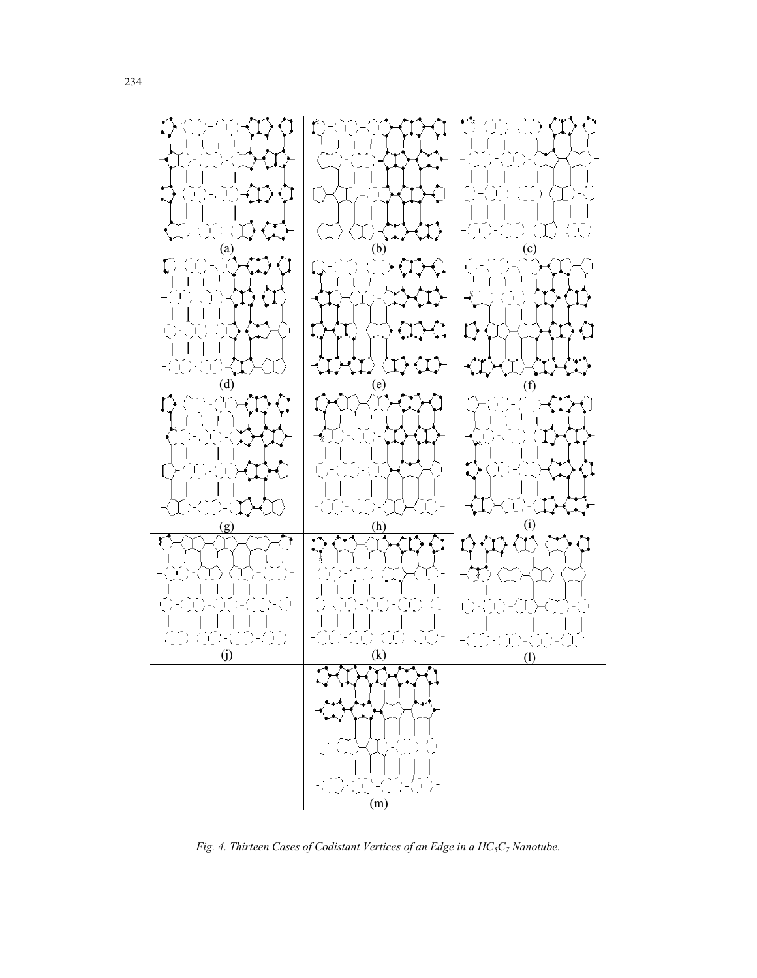

*Fig. 4. Thirteen Cases of Codistant Vertices of an Edge in a HC<sub>5</sub>C<sub>7</sub> Nanotube.*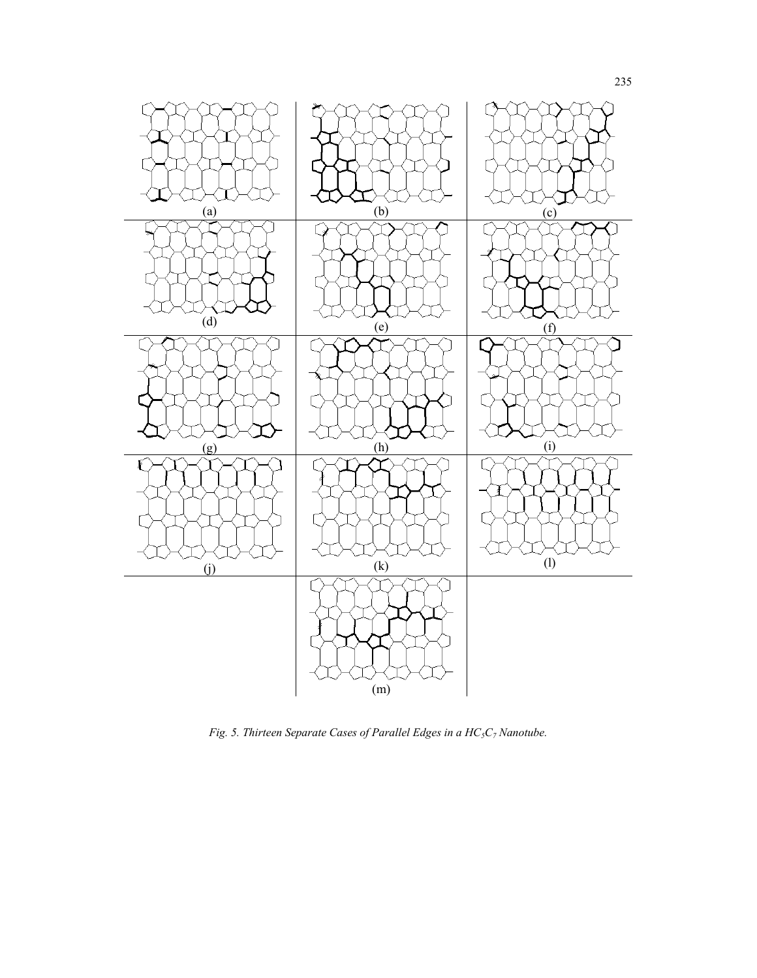

*Fig. 5. Thirteen Separate Cases of Parallel Edges in a HC5C7 Nanotube.*